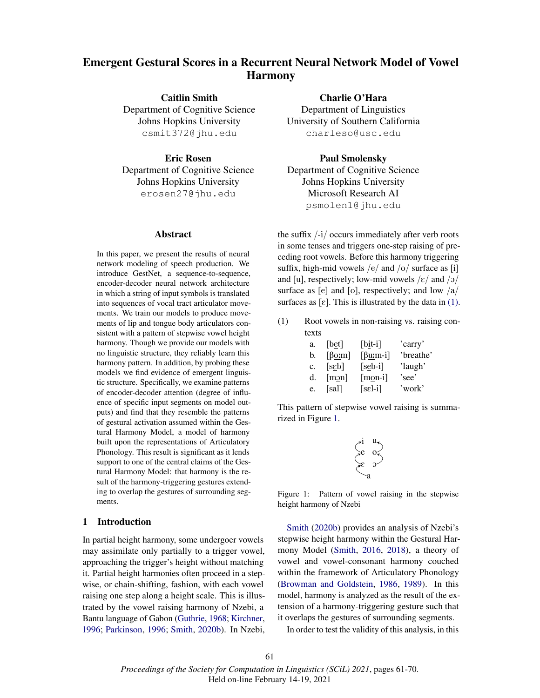# Emergent Gestural Scores in a Recurrent Neural Network Model of Vowel Harmony

Caitlin Smith Department of Cognitive Science Johns Hopkins University csmit372@jhu.edu

Eric Rosen Department of Cognitive Science Johns Hopkins University erosen27@jhu.edu

#### Abstract

In this paper, we present the results of neural network modeling of speech production. We introduce GestNet, a sequence-to-sequence, encoder-decoder neural network architecture in which a string of input symbols is translated into sequences of vocal tract articulator movements. We train our models to produce movements of lip and tongue body articulators consistent with a pattern of stepwise vowel height harmony. Though we provide our models with no linguistic structure, they reliably learn this harmony pattern. In addition, by probing these models we find evidence of emergent linguistic structure. Specifically, we examine patterns of encoder-decoder attention (degree of influence of specific input segments on model outputs) and find that they resemble the patterns of gestural activation assumed within the Gestural Harmony Model, a model of harmony built upon the representations of Articulatory Phonology. This result is significant as it lends support to one of the central claims of the Gestural Harmony Model: that harmony is the result of the harmony-triggering gestures extending to overlap the gestures of surrounding segments.

#### 1 Introduction

In partial height harmony, some undergoer vowels may assimilate only partially to a trigger vowel, approaching the trigger's height without matching it. Partial height harmonies often proceed in a stepwise, or chain-shifting, fashion, with each vowel raising one step along a height scale. This is illustrated by the vowel raising harmony of Nzebi, a Bantu language of Gabon (Guthrie, 1968; Kirchner, 1996; Parkinson, 1996; Smith, 2020b). In Nzebi,

Charlie O'Hara Department of Linguistics University of Southern California charleso@usc.edu

Paul Smolensky Department of Cognitive Science Johns Hopkins University Microsoft Research AI psmolen1@jhu.edu

the suffix /-i/ occurs immediately after verb roots in some tenses and triggers one-step raising of preceding root vowels. Before this harmony triggering suffix, high-mid vowels  $/e/$  and  $/o/$  surface as [i] and [u], respectively; low-mid vowels  $/\varepsilon$  and  $/\varepsilon$ surface as [e] and [o], respectively; and low  $\frac{a}{a}$ surfaces as  $[\varepsilon]$ . This is illustrated by the data in (1).

(1) Root vowels in non-raising vs. raising contexts

| a. | [bet]                           | $[bit-i]$                          | 'carry'   |
|----|---------------------------------|------------------------------------|-----------|
| b. | $\lceil \beta 0 \cdot m \rceil$ | $\lceil \beta \underline{u}$ :m-i] | 'breathe' |
| c. | [scb]                           | $[seb-i]$                          | 'laugh'   |
| d. | $\lceil \underline{m2n} \rceil$ | $[mon-i]$                          | 'see'     |
| e. | $[s_2]$                         | $[s\underline{\epsilon}1-i]$       | 'work'    |

This pattern of stepwise vowel raising is summarized in Figure 1.

$$
\begin{pmatrix} \star i & u_\star \\ \star e & o_\star \\ \star e & \mathfrak{d} \end{pmatrix}
$$

Figure 1: Pattern of vowel raising in the stepwise height harmony of Nzebi

Smith (2020b) provides an analysis of Nzebi's stepwise height harmony within the Gestural Harmony Model (Smith, 2016, 2018), a theory of vowel and vowel-consonant harmony couched within the framework of Articulatory Phonology (Browman and Goldstein, 1986, 1989). In this model, harmony is analyzed as the result of the extension of a harmony-triggering gesture such that it overlaps the gestures of surrounding segments.

In order to test the validity of this analysis, in this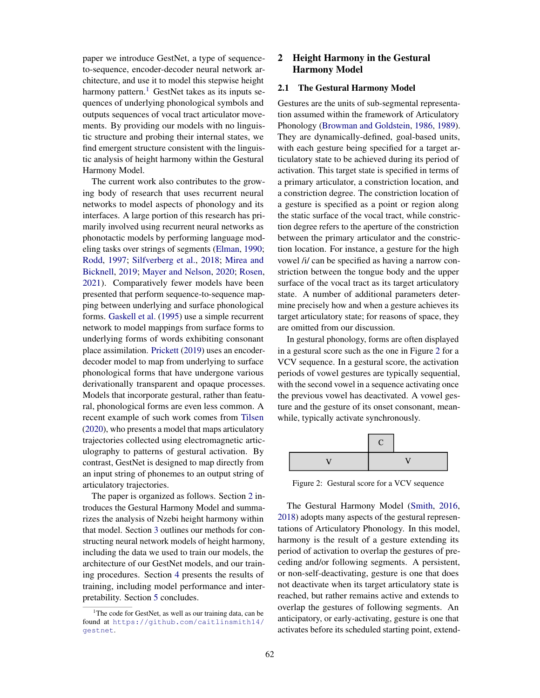paper we introduce GestNet, a type of sequenceto-sequence, encoder-decoder neural network architecture, and use it to model this stepwise height harmony pattern.<sup>1</sup> GestNet takes as its inputs sequences of underlying phonological symbols and outputs sequences of vocal tract articulator movements. By providing our models with no linguistic structure and probing their internal states, we find emergent structure consistent with the linguistic analysis of height harmony within the Gestural Harmony Model.

The current work also contributes to the growing body of research that uses recurrent neural networks to model aspects of phonology and its interfaces. A large portion of this research has primarily involved using recurrent neural networks as phonotactic models by performing language modeling tasks over strings of segments (Elman, 1990; Rodd, 1997; Silfverberg et al., 2018; Mirea and Bicknell, 2019; Mayer and Nelson, 2020; Rosen, 2021). Comparatively fewer models have been presented that perform sequence-to-sequence mapping between underlying and surface phonological forms. Gaskell et al. (1995) use a simple recurrent network to model mappings from surface forms to underlying forms of words exhibiting consonant place assimilation. Prickett (2019) uses an encoderdecoder model to map from underlying to surface phonological forms that have undergone various derivationally transparent and opaque processes. Models that incorporate gestural, rather than featural, phonological forms are even less common. A recent example of such work comes from Tilsen (2020), who presents a model that maps articulatory trajectories collected using electromagnetic articulography to patterns of gestural activation. By contrast, GestNet is designed to map directly from an input string of phonemes to an output string of articulatory trajectories.

The paper is organized as follows. Section 2 introduces the Gestural Harmony Model and summarizes the analysis of Nzebi height harmony within that model. Section 3 outlines our methods for constructing neural network models of height harmony, including the data we used to train our models, the architecture of our GestNet models, and our training procedures. Section 4 presents the results of training, including model performance and interpretability. Section 5 concludes.

# 2 Height Harmony in the Gestural Harmony Model

#### 2.1 The Gestural Harmony Model

Gestures are the units of sub-segmental representation assumed within the framework of Articulatory Phonology (Browman and Goldstein, 1986, 1989). They are dynamically-defined, goal-based units, with each gesture being specified for a target articulatory state to be achieved during its period of activation. This target state is specified in terms of a primary articulator, a constriction location, and a constriction degree. The constriction location of a gesture is specified as a point or region along the static surface of the vocal tract, while constriction degree refers to the aperture of the constriction between the primary articulator and the constriction location. For instance, a gesture for the high vowel /i/ can be specified as having a narrow constriction between the tongue body and the upper surface of the vocal tract as its target articulatory state. A number of additional parameters determine precisely how and when a gesture achieves its target articulatory state; for reasons of space, they are omitted from our discussion.

In gestural phonology, forms are often displayed in a gestural score such as the one in Figure 2 for a VCV sequence. In a gestural score, the activation periods of vowel gestures are typically sequential, with the second vowel in a sequence activating once the previous vowel has deactivated. A vowel gesture and the gesture of its onset consonant, meanwhile, typically activate synchronously.

| € |  |
|---|--|
|   |  |

Figure 2: Gestural score for a VCV sequence

The Gestural Harmony Model (Smith, 2016, 2018) adopts many aspects of the gestural representations of Articulatory Phonology. In this model, harmony is the result of a gesture extending its period of activation to overlap the gestures of preceding and/or following segments. A persistent, or non-self-deactivating, gesture is one that does not deactivate when its target articulatory state is reached, but rather remains active and extends to overlap the gestures of following segments. An anticipatory, or early-activating, gesture is one that activates before its scheduled starting point, extend-

<sup>&</sup>lt;sup>1</sup>The code for GestNet, as well as our training data, can be found at https://github.com/caitlinsmith14/ gestnet.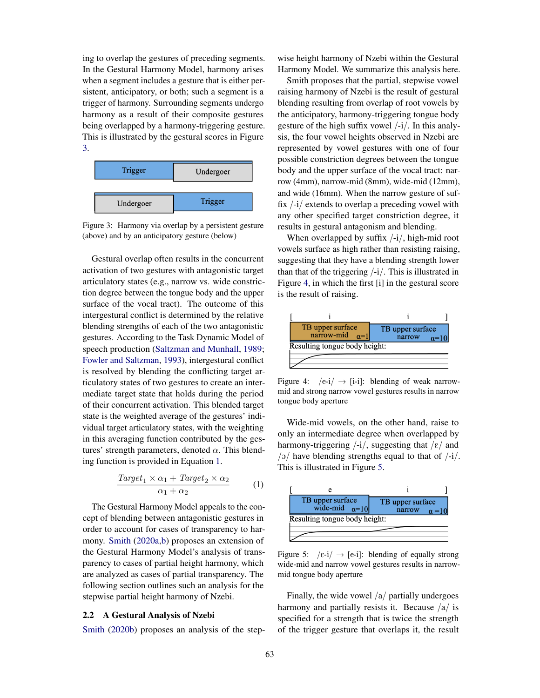ing to overlap the gestures of preceding segments. In the Gestural Harmony Model, harmony arises when a segment includes a gesture that is either persistent, anticipatory, or both; such a segment is a trigger of harmony. Surrounding segments undergo harmony as a result of their composite gestures being overlapped by a harmony-triggering gesture. This is illustrated by the gestural scores in Figure 3.



Figure 3: Harmony via overlap by a persistent gesture (above) and by an anticipatory gesture (below)

Gestural overlap often results in the concurrent activation of two gestures with antagonistic target articulatory states (e.g., narrow vs. wide constriction degree between the tongue body and the upper surface of the vocal tract). The outcome of this intergestural conflict is determined by the relative blending strengths of each of the two antagonistic gestures. According to the Task Dynamic Model of speech production (Saltzman and Munhall, 1989; Fowler and Saltzman, 1993), intergestural conflict is resolved by blending the conflicting target articulatory states of two gestures to create an intermediate target state that holds during the period of their concurrent activation. This blended target state is the weighted average of the gestures' individual target articulatory states, with the weighting in this averaging function contributed by the gestures' strength parameters, denoted  $\alpha$ . This blending function is provided in Equation 1.

$$
\frac{Target_1 \times \alpha_1 + Target_2 \times \alpha_2}{\alpha_1 + \alpha_2} \tag{1}
$$

The Gestural Harmony Model appeals to the concept of blending between antagonistic gestures in order to account for cases of transparency to harmony. Smith (2020a,b) proposes an extension of the Gestural Harmony Model's analysis of transparency to cases of partial height harmony, which are analyzed as cases of partial transparency. The following section outlines such an analysis for the stepwise partial height harmony of Nzebi.

# 2.2 A Gestural Analysis of Nzebi

Smith (2020b) proposes an analysis of the step-

wise height harmony of Nzebi within the Gestural Harmony Model. We summarize this analysis here.

Smith proposes that the partial, stepwise vowel raising harmony of Nzebi is the result of gestural blending resulting from overlap of root vowels by the anticipatory, harmony-triggering tongue body gesture of the high suffix vowel  $\frac{1}{i}$ . In this analysis, the four vowel heights observed in Nzebi are represented by vowel gestures with one of four possible constriction degrees between the tongue body and the upper surface of the vocal tract: narrow (4mm), narrow-mid (8mm), wide-mid (12mm), and wide (16mm). When the narrow gesture of suffix /-i/ extends to overlap a preceding vowel with any other specified target constriction degree, it results in gestural antagonism and blending.

When overlapped by suffix /-i/, high-mid root vowels surface as high rather than resisting raising, suggesting that they have a blending strength lower than that of the triggering  $\frac{1}{i}$ . This is illustrated in Figure 4, in which the first [i] in the gestural score is the result of raising.



Figure 4:  $\sqrt{e-i} \rightarrow$  [i-i]: blending of weak narrowmid and strong narrow vowel gestures results in narrow tongue body aperture

Wide-mid vowels, on the other hand, raise to only an intermediate degree when overlapped by harmony-triggering  $\frac{1}{i}$ , suggesting that  $\frac{\epsilon}{\epsilon}$  and  $/2$  have blending strengths equal to that of  $/$ -i $/$ . This is illustrated in Figure 5.



Figure 5:  $\sqrt{\varepsilon-i}/\rightarrow$  [e-i]: blending of equally strong wide-mid and narrow vowel gestures results in narrowmid tongue body aperture

Finally, the wide vowel  $\frac{a}{\text{r}}$  partially undergoes harmony and partially resists it. Because  $\frac{a}{i}$  is specified for a strength that is twice the strength of the trigger gesture that overlaps it, the result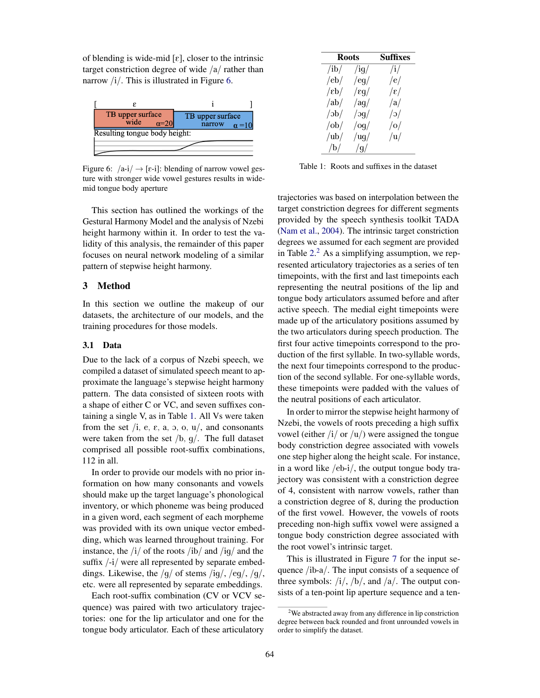of blending is wide-mid  $[\varepsilon]$ , closer to the intrinsic target constriction degree of wide /a/ rather than narrow  $/i/$ . This is illustrated in Figure 6.



Figure 6:  $\left| \alpha - i \right| \rightarrow \left[ \epsilon - i \right]$ : blending of narrow vowel gesture with stronger wide vowel gestures results in widemid tongue body aperture

This section has outlined the workings of the Gestural Harmony Model and the analysis of Nzebi height harmony within it. In order to test the validity of this analysis, the remainder of this paper focuses on neural network modeling of a similar pattern of stepwise height harmony.

# 3 Method

In this section we outline the makeup of our datasets, the architecture of our models, and the training procedures for those models.

# 3.1 Data

Due to the lack of a corpus of Nzebi speech, we compiled a dataset of simulated speech meant to approximate the language's stepwise height harmony pattern. The data consisted of sixteen roots with a shape of either C or VC, and seven suffixes containing a single V, as in Table 1. All Vs were taken from the set /i, e,  $\varepsilon$ , a, o, o, u/, and consonants were taken from the set  $/b$ ,  $g/$ . The full dataset comprised all possible root-suffix combinations, 112 in all.

In order to provide our models with no prior information on how many consonants and vowels should make up the target language's phonological inventory, or which phoneme was being produced in a given word, each segment of each morpheme was provided with its own unique vector embedding, which was learned throughout training. For instance, the  $\frac{1}{4}$  of the roots  $\frac{1}{10}$  and  $\frac{1}{10}$  and the suffix  $\frac{1}{i}$  were all represented by separate embeddings. Likewise, the  $/g/$  of stems  $\frac{1}{g/2}$ ,  $\frac{1}{g/2}$ , etc. were all represented by separate embeddings.

Each root-suffix combination (CV or VCV sequence) was paired with two articulatory trajectories: one for the lip articulator and one for the tongue body articulator. Each of these articulatory

| <b>Roots</b>            |               | <b>Suffixes</b> |  |
|-------------------------|---------------|-----------------|--|
| $\frac{1}{1}$           | $\frac{1}{9}$ | $\rm /i/$       |  |
| /eb/                    | /eq/          | /e/             |  |
| $\frac{1}{\epsilon b}$  | $\sqrt{g}g/$  | $ \epsilon $    |  |
| /ab/                    | $\frac{1}{q}$ | /a/             |  |
| $\frac{1}{\sqrt{2}}$    | $\log$        | o               |  |
| $\frac{\delta}{\delta}$ | log/          | o               |  |
| $/\mathrm{ub}/$         | $\log$        | /u/             |  |
| /b/                     | /g/           |                 |  |

Table 1: Roots and suffixes in the dataset

trajectories was based on interpolation between the target constriction degrees for different segments provided by the speech synthesis toolkit TADA (Nam et al., 2004). The intrinsic target constriction degrees we assumed for each segment are provided in Table  $2<sup>2</sup>$  As a simplifying assumption, we represented articulatory trajectories as a series of ten timepoints, with the first and last timepoints each representing the neutral positions of the lip and tongue body articulators assumed before and after active speech. The medial eight timepoints were made up of the articulatory positions assumed by the two articulators during speech production. The first four active timepoints correspond to the production of the first syllable. In two-syllable words, the next four timepoints correspond to the production of the second syllable. For one-syllable words, these timepoints were padded with the values of the neutral positions of each articulator.

In order to mirror the stepwise height harmony of Nzebi, the vowels of roots preceding a high suffix vowel (either  $\frac{1}{\alpha}$  or  $\frac{1}{\alpha}$ ) were assigned the tongue body constriction degree associated with vowels one step higher along the height scale. For instance, in a word like /eb-i/, the output tongue body trajectory was consistent with a constriction degree of 4, consistent with narrow vowels, rather than a constriction degree of 8, during the production of the first vowel. However, the vowels of roots preceding non-high suffix vowel were assigned a tongue body constriction degree associated with the root vowel's intrinsic target.

This is illustrated in Figure 7 for the input sequence /ib-a/. The input consists of a sequence of three symbols:  $/i/$ ,  $/b/$ , and  $/a/$ . The output consists of a ten-point lip aperture sequence and a ten-

<sup>&</sup>lt;sup>2</sup>We abstracted away from any difference in lip constriction degree between back rounded and front unrounded vowels in order to simplify the dataset.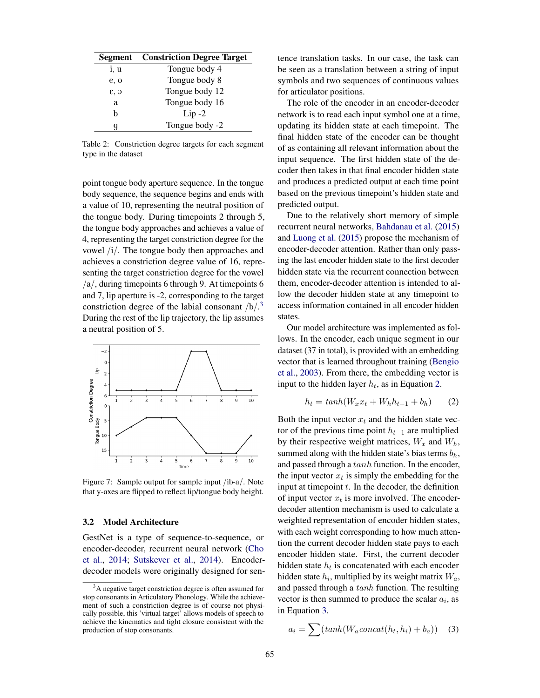| <b>Segment</b> | <b>Constriction Degree Target</b> |
|----------------|-----------------------------------|
| i, u           | Tongue body 4                     |
| e, o           | Tongue body 8                     |
| c, 3           | Tongue body 12                    |
| a              | Tongue body 16                    |
| h              | $Lip-2$                           |
| q              | Tongue body -2                    |

Table 2: Constriction degree targets for each segment type in the dataset

point tongue body aperture sequence. In the tongue body sequence, the sequence begins and ends with a value of 10, representing the neutral position of the tongue body. During timepoints 2 through 5, the tongue body approaches and achieves a value of 4, representing the target constriction degree for the vowel /i/. The tongue body then approaches and achieves a constriction degree value of 16, representing the target constriction degree for the vowel  $a/$ , during timepoints 6 through 9. At timepoints 6 and 7, lip aperture is -2, corresponding to the target constriction degree of the labial consonant  $/b/$ .<sup>3</sup> During the rest of the lip trajectory, the lip assumes a neutral position of 5.



Figure 7: Sample output for sample input /ib-a/. Note that y-axes are flipped to reflect lip/tongue body height.

#### 3.2 Model Architecture

GestNet is a type of sequence-to-sequence, or encoder-decoder, recurrent neural network (Cho et al., 2014; Sutskever et al., 2014). Encoderdecoder models were originally designed for sentence translation tasks. In our case, the task can be seen as a translation between a string of input symbols and two sequences of continuous values for articulator positions.

The role of the encoder in an encoder-decoder network is to read each input symbol one at a time, updating its hidden state at each timepoint. The final hidden state of the encoder can be thought of as containing all relevant information about the input sequence. The first hidden state of the decoder then takes in that final encoder hidden state and produces a predicted output at each time point based on the previous timepoint's hidden state and predicted output.

Due to the relatively short memory of simple recurrent neural networks, Bahdanau et al. (2015) and Luong et al. (2015) propose the mechanism of encoder-decoder attention. Rather than only passing the last encoder hidden state to the first decoder hidden state via the recurrent connection between them, encoder-decoder attention is intended to allow the decoder hidden state at any timepoint to access information contained in all encoder hidden states.

Our model architecture was implemented as follows. In the encoder, each unique segment in our dataset (37 in total), is provided with an embedding vector that is learned throughout training (Bengio et al., 2003). From there, the embedding vector is input to the hidden layer  $h_t$ , as in Equation 2.

$$
h_t = \tanh(W_x x_t + W_h h_{t-1} + b_h) \qquad (2)
$$

Both the input vector  $x_t$  and the hidden state vector of the previous time point  $h_{t-1}$  are multiplied by their respective weight matrices,  $W_x$  and  $W_h$ , summed along with the hidden state's bias terms  $b_h$ , and passed through a tanh function. In the encoder, the input vector  $x_t$  is simply the embedding for the input at timepoint  $t$ . In the decoder, the definition of input vector  $x_t$  is more involved. The encoderdecoder attention mechanism is used to calculate a weighted representation of encoder hidden states, with each weight corresponding to how much attention the current decoder hidden state pays to each encoder hidden state. First, the current decoder hidden state  $h_t$  is concatenated with each encoder hidden state  $h_i$ , multiplied by its weight matrix  $W_a$ , and passed through a tanh function. The resulting vector is then summed to produce the scalar  $a_i$ , as in Equation 3.

$$
a_i = \sum (tanh(W_a concat(h_t, h_i) + b_a)) \quad (3)
$$

<sup>&</sup>lt;sup>3</sup>A negative target constriction degree is often assumed for stop consonants in Articulatory Phonology. While the achievement of such a constriction degree is of course not physically possible, this 'virtual target' allows models of speech to achieve the kinematics and tight closure consistent with the production of stop consonants.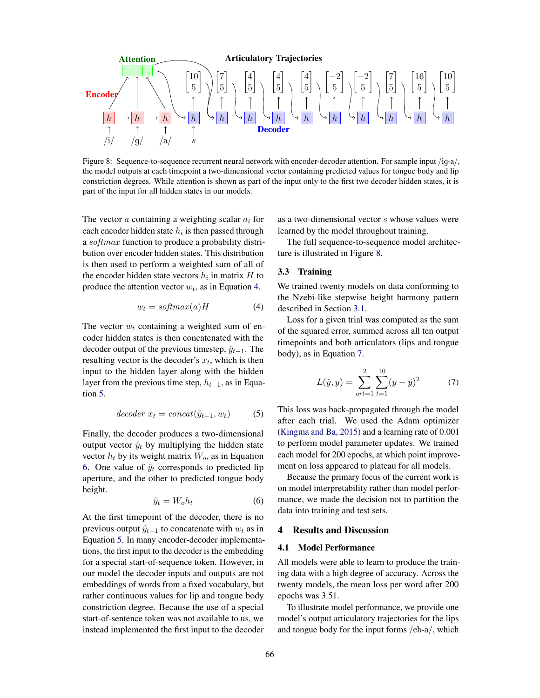

Figure 8: Sequence-to-sequence recurrent neural network with encoder-decoder attention. For sample input /iq-a/, the model outputs at each timepoint a two-dimensional vector containing predicted values for tongue body and lip constriction degrees. While attention is shown as part of the input only to the first two decoder hidden states, it is part of the input for all hidden states in our models.

The vector  $a$  containing a weighting scalar  $a_i$  for each encoder hidden state  $h_i$  is then passed through a *softmax* function to produce a probability distribution over encoder hidden states. This distribution is then used to perform a weighted sum of all of the encoder hidden state vectors  $h_i$  in matrix  $H$  to produce the attention vector  $w_t$ , as in Equation 4.

$$
w_t = \text{softmax}(a)H \tag{4}
$$

The vector  $w_t$  containing a weighted sum of encoder hidden states is then concatenated with the decoder output of the previous timestep,  $\hat{y}_{t-1}$ . The resulting vector is the decoder's  $x_t$ , which is then input to the hidden layer along with the hidden layer from the previous time step,  $h_{t-1}$ , as in Equation 5.

$$
decoder x_t = concat(\hat{y}_{t-1}, w_t)
$$
 (5)

Finally, the decoder produces a two-dimensional output vector  $\hat{y}_t$  by multiplying the hidden state vector  $h_t$  by its weight matrix  $W_o$ , as in Equation 6. One value of  $\hat{y}_t$  corresponds to predicted lip aperture, and the other to predicted tongue body height.

$$
\hat{y}_t = W_o h_t \tag{6}
$$

At the first timepoint of the decoder, there is no previous output  $\hat{y}_{t-1}$  to concatenate with  $w_t$  as in Equation 5. In many encoder-decoder implementations, the first input to the decoder is the embedding for a special start-of-sequence token. However, in our model the decoder inputs and outputs are not embeddings of words from a fixed vocabulary, but rather continuous values for lip and tongue body constriction degree. Because the use of a special start-of-sentence token was not available to us, we instead implemented the first input to the decoder as a two-dimensional vector s whose values were learned by the model throughout training.

The full sequence-to-sequence model architecture is illustrated in Figure 8.

## 3.3 Training

We trained twenty models on data conforming to the Nzebi-like stepwise height harmony pattern described in Section 3.1.

Loss for a given trial was computed as the sum of the squared error, summed across all ten output timepoints and both articulators (lips and tongue body), as in Equation 7.

$$
L(\hat{y}, y) = \sum_{art=1}^{2} \sum_{t=1}^{10} (y - \hat{y})^2
$$
 (7)

This loss was back-propagated through the model after each trial. We used the Adam optimizer (Kingma and Ba, 2015) and a learning rate of 0.001 to perform model parameter updates. We trained each model for 200 epochs, at which point improvement on loss appeared to plateau for all models.

Because the primary focus of the current work is on model interpretability rather than model performance, we made the decision not to partition the data into training and test sets.

# 4 Results and Discussion

### 4.1 Model Performance

All models were able to learn to produce the training data with a high degree of accuracy. Across the twenty models, the mean loss per word after 200 epochs was 3.51.

To illustrate model performance, we provide one model's output articulatory trajectories for the lips and tongue body for the input forms /eb-a/, which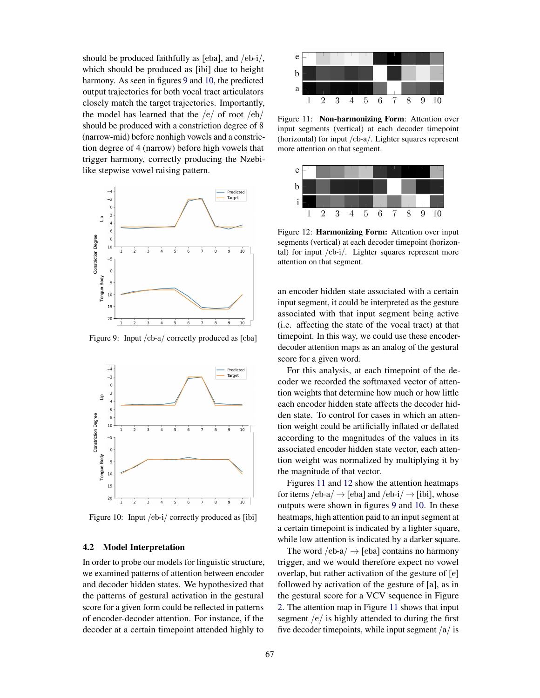should be produced faithfully as [eba], and /eb-i/, which should be produced as [ibi] due to height harmony. As seen in figures 9 and 10, the predicted output trajectories for both vocal tract articulators closely match the target trajectories. Importantly, the model has learned that the  $/e/$  of root  $/eb/$ should be produced with a constriction degree of 8 (narrow-mid) before nonhigh vowels and a constriction degree of 4 (narrow) before high vowels that trigger harmony, correctly producing the Nzebilike stepwise vowel raising pattern.



Figure 9: Input /eb-a/ correctly produced as [eba]



Figure 10: Input /eb-i/ correctly produced as [ibi]

# 4.2 Model Interpretation

In order to probe our models for linguistic structure, we examined patterns of attention between encoder and decoder hidden states. We hypothesized that the patterns of gestural activation in the gestural score for a given form could be reflected in patterns of encoder-decoder attention. For instance, if the decoder at a certain timepoint attended highly to



Figure 11: Non-harmonizing Form: Attention over input segments (vertical) at each decoder timepoint (horizontal) for input /eb-a/. Lighter squares represent more attention on that segment.



Figure 12: Harmonizing Form: Attention over input segments (vertical) at each decoder timepoint (horizontal) for input /eb-i/. Lighter squares represent more attention on that segment.

an encoder hidden state associated with a certain input segment, it could be interpreted as the gesture associated with that input segment being active (i.e. affecting the state of the vocal tract) at that timepoint. In this way, we could use these encoderdecoder attention maps as an analog of the gestural score for a given word.

For this analysis, at each timepoint of the decoder we recorded the softmaxed vector of attention weights that determine how much or how little each encoder hidden state affects the decoder hidden state. To control for cases in which an attention weight could be artificially inflated or deflated according to the magnitudes of the values in its associated encoder hidden state vector, each attention weight was normalized by multiplying it by the magnitude of that vector.

Figures 11 and 12 show the attention heatmaps for items  $/eb-a/ \rightarrow$  [eba] and  $/eb-i/ \rightarrow$  [ibi], whose outputs were shown in figures 9 and 10. In these heatmaps, high attention paid to an input segment at a certain timepoint is indicated by a lighter square, while low attention is indicated by a darker square.

The word  $/eb-a$   $\rightarrow$  [eba] contains no harmony trigger, and we would therefore expect no vowel overlap, but rather activation of the gesture of [e] followed by activation of the gesture of [a], as in the gestural score for a VCV sequence in Figure 2. The attention map in Figure 11 shows that input segment  $/e/$  is highly attended to during the first five decoder timepoints, while input segment  $/a/$  is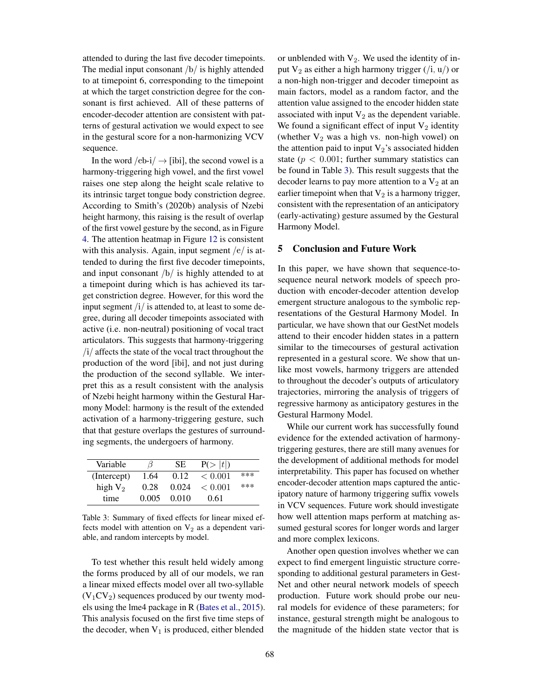attended to during the last five decoder timepoints. The medial input consonant /b/ is highly attended to at timepoint 6, corresponding to the timepoint at which the target constriction degree for the consonant is first achieved. All of these patterns of encoder-decoder attention are consistent with patterns of gestural activation we would expect to see in the gestural score for a non-harmonizing VCV sequence.

In the word  $/eb-i/ \rightarrow$  [ibi], the second vowel is a harmony-triggering high vowel, and the first vowel raises one step along the height scale relative to its intrinsic target tongue body constriction degree. According to Smith's (2020b) analysis of Nzebi height harmony, this raising is the result of overlap of the first vowel gesture by the second, as in Figure 4. The attention heatmap in Figure 12 is consistent with this analysis. Again, input segment  $/e/$  is attended to during the first five decoder timepoints, and input consonant  $/b/$  is highly attended to at a timepoint during which is has achieved its target constriction degree. However, for this word the input segment  $\frac{1}{i}$  is attended to, at least to some degree, during all decoder timepoints associated with active (i.e. non-neutral) positioning of vocal tract articulators. This suggests that harmony-triggering  $\frac{1}{i}$  affects the state of the vocal tract throughout the production of the word [ibi], and not just during the production of the second syllable. We interpret this as a result consistent with the analysis of Nzebi height harmony within the Gestural Harmony Model: harmony is the result of the extended activation of a harmony-triggering gesture, such that that gesture overlaps the gestures of surrounding segments, the undergoers of harmony.

| Variable    | ß     | SE.   | P(> t ) |     |
|-------------|-------|-------|---------|-----|
| (Intercept) | 1.64  | 0.12  | < 0.001 | *** |
| high $V_2$  | 0.28  | 0.024 | < 0.001 | *** |
| time        | 0.005 | 0.010 | 0.61    |     |

Table 3: Summary of fixed effects for linear mixed effects model with attention on  $V_2$  as a dependent variable, and random intercepts by model.

To test whether this result held widely among the forms produced by all of our models, we ran a linear mixed effects model over all two-syllable  $(V_1CV_2)$  sequences produced by our twenty models using the lme4 package in R (Bates et al., 2015). This analysis focused on the first five time steps of the decoder, when  $V_1$  is produced, either blended

or unblended with  $V_2$ . We used the identity of input  $V_2$  as either a high harmony trigger  $(j, u)$  or a non-high non-trigger and decoder timepoint as main factors, model as a random factor, and the attention value assigned to the encoder hidden state associated with input  $V_2$  as the dependent variable. We found a significant effect of input  $V_2$  identity (whether  $V_2$  was a high vs. non-high vowel) on the attention paid to input  $V_2$ 's associated hidden state ( $p < 0.001$ ; further summary statistics can be found in Table 3). This result suggests that the decoder learns to pay more attention to a  $V_2$  at an earlier timepoint when that  $V_2$  is a harmony trigger, consistent with the representation of an anticipatory (early-activating) gesture assumed by the Gestural Harmony Model.

# 5 Conclusion and Future Work

In this paper, we have shown that sequence-tosequence neural network models of speech production with encoder-decoder attention develop emergent structure analogous to the symbolic representations of the Gestural Harmony Model. In particular, we have shown that our GestNet models attend to their encoder hidden states in a pattern similar to the timecourses of gestural activation represented in a gestural score. We show that unlike most vowels, harmony triggers are attended to throughout the decoder's outputs of articulatory trajectories, mirroring the analysis of triggers of regressive harmony as anticipatory gestures in the Gestural Harmony Model.

While our current work has successfully found evidence for the extended activation of harmonytriggering gestures, there are still many avenues for the development of additional methods for model interpretability. This paper has focused on whether encoder-decoder attention maps captured the anticipatory nature of harmony triggering suffix vowels in VCV sequences. Future work should investigate how well attention maps perform at matching assumed gestural scores for longer words and larger and more complex lexicons.

Another open question involves whether we can expect to find emergent linguistic structure corresponding to additional gestural parameters in Gest-Net and other neural network models of speech production. Future work should probe our neural models for evidence of these parameters; for instance, gestural strength might be analogous to the magnitude of the hidden state vector that is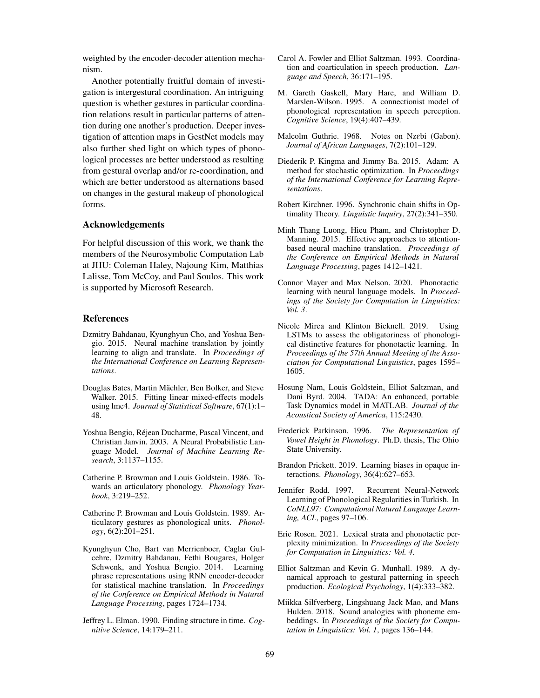weighted by the encoder-decoder attention mechanism.

Another potentially fruitful domain of investigation is intergestural coordination. An intriguing question is whether gestures in particular coordination relations result in particular patterns of attention during one another's production. Deeper investigation of attention maps in GestNet models may also further shed light on which types of phonological processes are better understood as resulting from gestural overlap and/or re-coordination, and which are better understood as alternations based on changes in the gestural makeup of phonological forms.

#### Acknowledgements

For helpful discussion of this work, we thank the members of the Neurosymbolic Computation Lab at JHU: Coleman Haley, Najoung Kim, Matthias Lalisse, Tom McCoy, and Paul Soulos. This work is supported by Microsoft Research.

# References

- Dzmitry Bahdanau, Kyunghyun Cho, and Yoshua Bengio. 2015. Neural machine translation by jointly learning to align and translate. In *Proceedings of the International Conference on Learning Representations*.
- Douglas Bates, Martin Mächler, Ben Bolker, and Steve Walker. 2015. Fitting linear mixed-effects models using lme4. *Journal of Statistical Software*, 67(1):1– 48.
- Yoshua Bengio, Réjean Ducharme, Pascal Vincent, and Christian Janvin. 2003. A Neural Probabilistic Language Model. *Journal of Machine Learning Research*, 3:1137–1155.
- Catherine P. Browman and Louis Goldstein. 1986. Towards an articulatory phonology. *Phonology Yearbook*, 3:219–252.
- Catherine P. Browman and Louis Goldstein. 1989. Articulatory gestures as phonological units. *Phonology*, 6(2):201–251.
- Kyunghyun Cho, Bart van Merrienboer, Caglar Gulcehre, Dzmitry Bahdanau, Fethi Bougares, Holger Schwenk, and Yoshua Bengio. 2014. Learning phrase representations using RNN encoder-decoder for statistical machine translation. In *Proceedings of the Conference on Empirical Methods in Natural Language Processing*, pages 1724–1734.
- Jeffrey L. Elman. 1990. Finding structure in time. *Cognitive Science*, 14:179–211.
- Carol A. Fowler and Elliot Saltzman. 1993. Coordination and coarticulation in speech production. *Language and Speech*, 36:171–195.
- M. Gareth Gaskell, Mary Hare, and William D. Marslen-Wilson. 1995. A connectionist model of phonological representation in speech perception. *Cognitive Science*, 19(4):407–439.
- Malcolm Guthrie. 1968. Notes on Nzebi (Gabon). *Journal of African Languages*, 7(2):101–129.
- Diederik P. Kingma and Jimmy Ba. 2015. Adam: A method for stochastic optimization. In *Proceedings of the International Conference for Learning Representations*.
- Robert Kirchner. 1996. Synchronic chain shifts in Optimality Theory. *Linguistic Inquiry*, 27(2):341–350.
- Minh Thang Luong, Hieu Pham, and Christopher D. Manning. 2015. Effective approaches to attentionbased neural machine translation. *Proceedings of the Conference on Empirical Methods in Natural Language Processing*, pages 1412–1421.
- Connor Mayer and Max Nelson. 2020. Phonotactic learning with neural language models. In *Proceedings of the Society for Computation in Linguistics: Vol. 3*.
- Nicole Mirea and Klinton Bicknell. 2019. Using LSTMs to assess the obligatoriness of phonological distinctive features for phonotactic learning. In *Proceedings of the 57th Annual Meeting of the Association for Computational Linguistics*, pages 1595– 1605.
- Hosung Nam, Louis Goldstein, Elliot Saltzman, and Dani Byrd. 2004. TADA: An enhanced, portable Task Dynamics model in MATLAB. *Journal of the Acoustical Society of America*, 115:2430.
- Frederick Parkinson. 1996. *The Representation of Vowel Height in Phonology*. Ph.D. thesis, The Ohio State University.
- Brandon Prickett. 2019. Learning biases in opaque interactions. *Phonology*, 36(4):627–653.
- Jennifer Rodd. 1997. Recurrent Neural-Network Learning of Phonological Regularities in Turkish. In *CoNLL97: Computational Natural Language Learning, ACL*, pages 97–106.
- Eric Rosen. 2021. Lexical strata and phonotactic perplexity minimization. In *Proceedings of the Society for Computation in Linguistics: Vol. 4*.
- Elliot Saltzman and Kevin G. Munhall. 1989. A dynamical approach to gestural patterning in speech production. *Ecological Psychology*, 1(4):333–382.
- Miikka Silfverberg, Lingshuang Jack Mao, and Mans Hulden. 2018. Sound analogies with phoneme embeddings. In *Proceedings of the Society for Computation in Linguistics: Vol. 1*, pages 136–144.